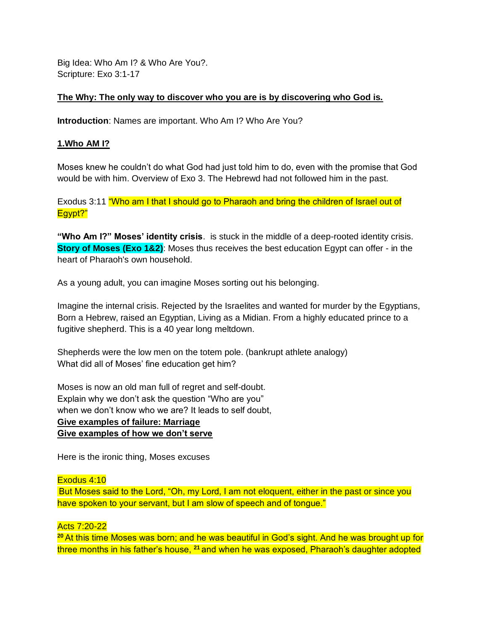Big Idea: Who Am I? & Who Are You?. Scripture: Exo 3:1-17

## **The Why: The only way to discover who you are is by discovering who God is.**

**Introduction**: Names are important. Who Am I? Who Are You?

#### **1.Who AM I?**

Moses knew he couldn't do what God had just told him to do, even with the promise that God would be with him. Overview of Exo 3. The Hebrewd had not followed him in the past.

Exodus 3:11 "Who am I that I should go to Pharaoh and bring the children of Israel out of Egypt?"

**"Who Am I?" Moses' identity crisis**. is stuck in the middle of a deep-rooted identity crisis. **Story of Moses (Exo 1&2)**: Moses thus receives the best education Egypt can offer - in the heart of Pharaoh's own household.

As a young adult, you can imagine Moses sorting out his belonging.

Imagine the internal crisis. Rejected by the Israelites and wanted for murder by the Egyptians, Born a Hebrew, raised an Egyptian, Living as a Midian. From a highly educated prince to a fugitive shepherd. This is a 40 year long meltdown.

Shepherds were the low men on the totem pole. (bankrupt athlete analogy) What did all of Moses' fine education get him?

Moses is now an old man full of regret and self-doubt. Explain why we don't ask the question "Who are you" when we don't know who we are? It leads to self doubt, **Give examples of failure: Marriage Give examples of how we don't serve**

Here is the ironic thing, Moses excuses

## Exodus 4:10

But Moses said to the Lord, "Oh, my Lord, I am not eloquent, either in the past or since you have spoken to your servant, but I am slow of speech and of tongue."

#### Acts 7:20-22

**<sup>20</sup>**At this time Moses was born; and he was beautiful in God's sight. And he was brought up for three months in his father's house, **21** and when he was exposed, Pharaoh's daughter adopted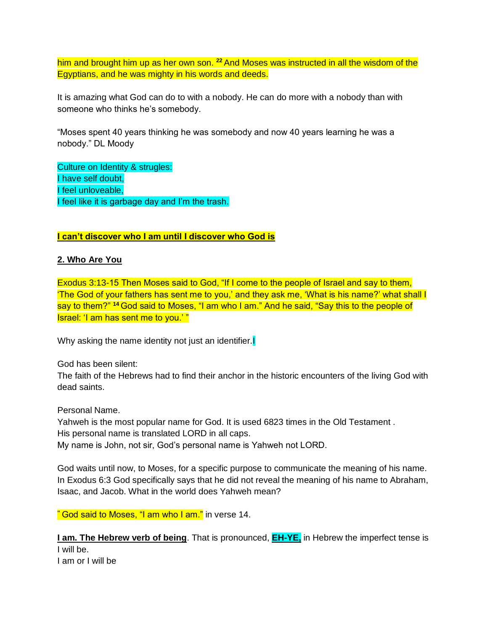him and brought him up as her own son. **<sup>22</sup>**And Moses was instructed in all the wisdom of the Egyptians, and he was mighty in his words and deeds.

It is amazing what God can do to with a nobody. He can do more with a nobody than with someone who thinks he's somebody.

"Moses spent 40 years thinking he was somebody and now 40 years learning he was a nobody." DL Moody

Culture on Identity & strugles: I have self doubt, I feel unloveable, I feel like it is garbage day and I'm the trash.

## **I can't discover who I am until I discover who God is**

## **2. Who Are You**

Exodus 3:13-15 Then Moses said to God, "If I come to the people of Israel and say to them, 'The God of your fathers has sent me to you,' and they ask me, 'What is his name?' what shall I say to them?" **<sup>14</sup>**God said to Moses, "I am who I am." And he said, "Say this to the people of Israel: 'I am has sent me to you.' "

Why asking the name identity not just an identifier.

God has been silent:

The faith of the Hebrews had to find their anchor in the historic encounters of the living God with dead saints.

Personal Name. Yahweh is the most popular name for God. It is used 6823 times in the Old Testament . His personal name is translated LORD in all caps. My name is John, not sir, God's personal name is Yahweh not LORD.

God waits until now, to Moses, for a specific purpose to communicate the meaning of his name. In Exodus 6:3 God specifically says that he did not reveal the meaning of his name to Abraham, Isaac, and Jacob. What in the world does Yahweh mean?

**"** God said to Moses, "I am who I am." in verse 14.

**I am. The Hebrew verb of being**. That is pronounced, **EH-YE**, in Hebrew the imperfect tense is I will be. I am or I will be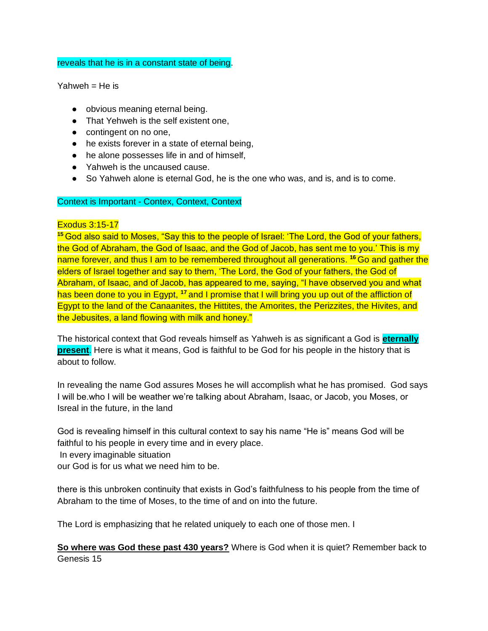#### reveals that he is in a constant state of being.

 $Yahweh = He$  is

- obvious meaning eternal being.
- That Yehweh is the self existent one,
- contingent on no one,
- he exists forever in a state of eternal being,
- he alone possesses life in and of himself,
- Yahweh is the uncaused cause.
- So Yahweh alone is eternal God, he is the one who was, and is, and is to come.

## Context is Important - Contex, Context, Context

#### Exodus 3:15-17

<sup>15</sup> God also said to Moses, "Say this to the people of Israel: 'The Lord, the God of your fathers, the God of Abraham, the God of Isaac, and the God of Jacob, has sent me to you.' This is my name forever, and thus I am to be remembered throughout all generations. **<sup>16</sup>**Go and gather the elders of Israel together and say to them, 'The Lord, the God of your fathers, the God of Abraham, of Isaac, and of Jacob, has appeared to me, saying, "I have observed you and what has been done to you in Egypt, **<sup>17</sup>**and I promise that I will bring you up out of the affliction of Egypt to the land of the Canaanites, the Hittites, the Amorites, the Perizzites, the Hivites, and the Jebusites, a land flowing with milk and honey."

The historical context that God reveals himself as Yahweh is as significant a God is **eternally present**. Here is what it means, God is faithful to be God for his people in the history that is about to follow.

In revealing the name God assures Moses he will accomplish what he has promised. God says I will be.who I will be weather we're talking about Abraham, Isaac, or Jacob, you Moses, or Isreal in the future, in the land

God is revealing himself in this cultural context to say his name "He is" means God will be faithful to his people in every time and in every place.

In every imaginable situation

our God is for us what we need him to be.

there is this unbroken continuity that exists in God's faithfulness to his people from the time of Abraham to the time of Moses, to the time of and on into the future.

The Lord is emphasizing that he related uniquely to each one of those men. I

**So where was God these past 430 years?** Where is God when it is quiet? Remember back to Genesis 15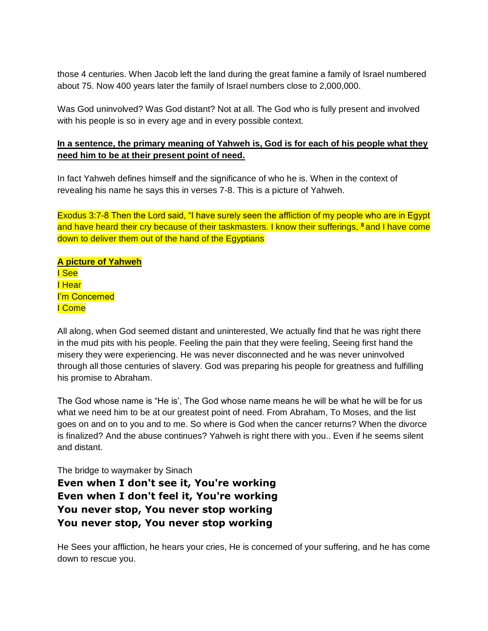those 4 centuries. When Jacob left the land during the great famine a family of Israel numbered about 75. Now 400 years later the family of Israel numbers close to 2,000,000.

Was God uninvolved? Was God distant? Not at all. The God who is fully present and involved with his people is so in every age and in every possible context.

# **In a sentence, the primary meaning of Yahweh is, God is for each of his people what they need him to be at their present point of need.**

In fact Yahweh defines himself and the significance of who he is. When in the context of revealing his name he says this in verses 7-8. This is a picture of Yahweh.

Exodus 3:7-8 Then the Lord said, "I have surely seen the affliction of my people who are in Egypt and have heard their cry because of their taskmasters. I know their sufferings, **<sup>8</sup>**and I have come down to deliver them out of the hand of the Egyptians

**A picture of Yahweh** I See I Hear I'm Concerned I Come

All along, when God seemed distant and uninterested, We actually find that he was right there in the mud pits with his people. Feeling the pain that they were feeling, Seeing first hand the misery they were experiencing. He was never disconnected and he was never uninvolved through all those centuries of slavery. God was preparing his people for greatness and fulfilling his promise to Abraham.

The God whose name is "He is', The God whose name means he will be what he will be for us what we need him to be at our greatest point of need. From Abraham, To Moses, and the list goes on and on to you and to me. So where is God when the cancer returns? When the divorce is finalized? And the abuse continues? Yahweh is right there with you.. Even if he seems silent and distant.

The bridge to waymaker by Sinach

**Even when I don't see it, You're working Even when I don't feel it, You're working You never stop, You never stop working You never stop, You never stop working**

He Sees your affliction, he hears your cries, He is concerned of your suffering, and he has come down to rescue you.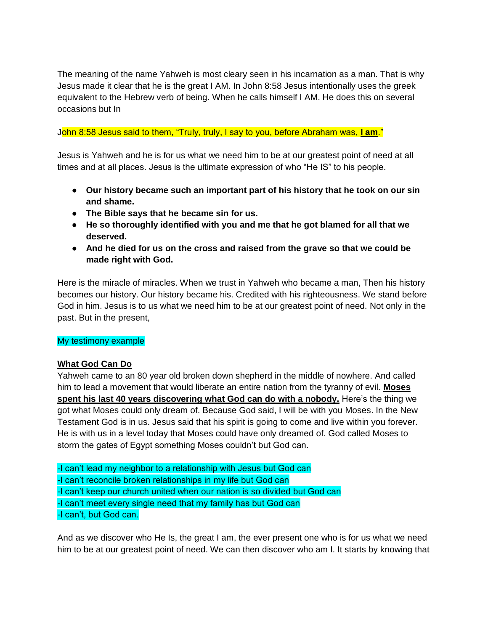The meaning of the name Yahweh is most cleary seen in his incarnation as a man. That is why Jesus made it clear that he is the great I AM. In John 8:58 Jesus intentionally uses the greek equivalent to the Hebrew verb of being. When he calls himself I AM. He does this on several occasions but In

#### John 8:58 Jesus said to them, "Truly, truly, I say to you, before Abraham was, **I am**."

Jesus is Yahweh and he is for us what we need him to be at our greatest point of need at all times and at all places. Jesus is the ultimate expression of who "He IS" to his people.

- **Our history became such an important part of his history that he took on our sin and shame.**
- **The Bible says that he became sin for us.**
- **He so thoroughly identified with you and me that he got blamed for all that we deserved.**
- **And he died for us on the cross and raised from the grave so that we could be made right with God.**

Here is the miracle of miracles. When we trust in Yahweh who became a man, Then his history becomes our history. Our history became his. Credited with his righteousness. We stand before God in him. Jesus is to us what we need him to be at our greatest point of need. Not only in the past. But in the present,

## My testimony example

## **What God Can Do**

Yahweh came to an 80 year old broken down shepherd in the middle of nowhere. And called him to lead a movement that would liberate an entire nation from the tyranny of evil. **Moses spent his last 40 years discovering what God can do with a nobody.** Here's the thing we got what Moses could only dream of. Because God said, I will be with you Moses. In the New Testament God is in us. Jesus said that his spirit is going to come and live within you forever. He is with us in a level today that Moses could have only dreamed of. God called Moses to storm the gates of Egypt something Moses couldn't but God can.

-I can't lead my neighbor to a relationship with Jesus but God can -I can't reconcile broken relationships in my life but God can -I can't keep our church united when our nation is so divided but God can -I can't meet every single need that my family has but God can -I can't, but God can.

And as we discover who He Is, the great I am, the ever present one who is for us what we need him to be at our greatest point of need. We can then discover who am I. It starts by knowing that